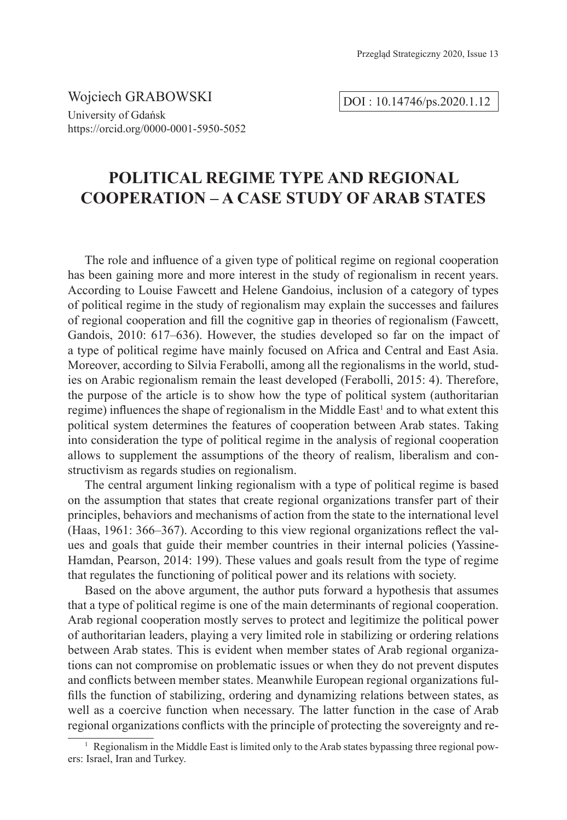Wojciech GRABOWSKI University of Gdańsk https://orcid.org/0000-0001-5950-5052

DOI : 10.14746/ps.2020.1.12

# **POLITICAL REGIME TYPE AND REGIONAL COOPERATION – A CASE STUDY OF ARAB STATES**

The role and influence of a given type of political regime on regional cooperation has been gaining more and more interest in the study of regionalism in recent years. According to Louise Fawcett and Helene Gandoius, inclusion of a category of types of political regime in the study of regionalism may explain the successes and failures of regional cooperation and fill the cognitive gap in theories of regionalism (Fawcett, Gandois, 2010: 617–636). However, the studies developed so far on the impact of a type of political regime have mainly focused on Africa and Central and East Asia. Moreover, according to Silvia Ferabolli, among all the regionalisms in the world, studies on Arabic regionalism remain the least developed (Ferabolli, 2015: 4). Therefore, the purpose of the article is to show how the type of political system (authoritarian regime) influences the shape of regionalism in the Middle East<sup>1</sup> and to what extent this political system determines the features of cooperation between Arab states. Taking into consideration the type of political regime in the analysis of regional cooperation allows to supplement the assumptions of the theory of realism, liberalism and constructivism as regards studies on regionalism.

The central argument linking regionalism with a type of political regime is based on the assumption that states that create regional organizations transfer part of their principles, behaviors and mechanisms of action from the state to the international level (Haas, 1961: 366–367). According to this view regional organizations reflect the values and goals that guide their member countries in their internal policies (Yassine-Hamdan, Pearson, 2014: 199). These values and goals result from the type of regime that regulates the functioning of political power and its relations with society.

Based on the above argument, the author puts forward a hypothesis that assumes that a type of political regime is one of the main determinants of regional cooperation. Arab regional cooperation mostly serves to protect and legitimize the political power of authoritarian leaders, playing a very limited role in stabilizing or ordering relations between Arab states. This is evident when member states of Arab regional organizations can not compromise on problematic issues or when they do not prevent disputes and conflicts between member states. Meanwhile European regional organizations fulfills the function of stabilizing, ordering and dynamizing relations between states, as well as a coercive function when necessary. The latter function in the case of Arab regional organizations conflicts with the principle of protecting the sovereignty and re-

<sup>&</sup>lt;sup>1</sup> Regionalism in the Middle East is limited only to the Arab states bypassing three regional powers: Israel, Iran and Turkey.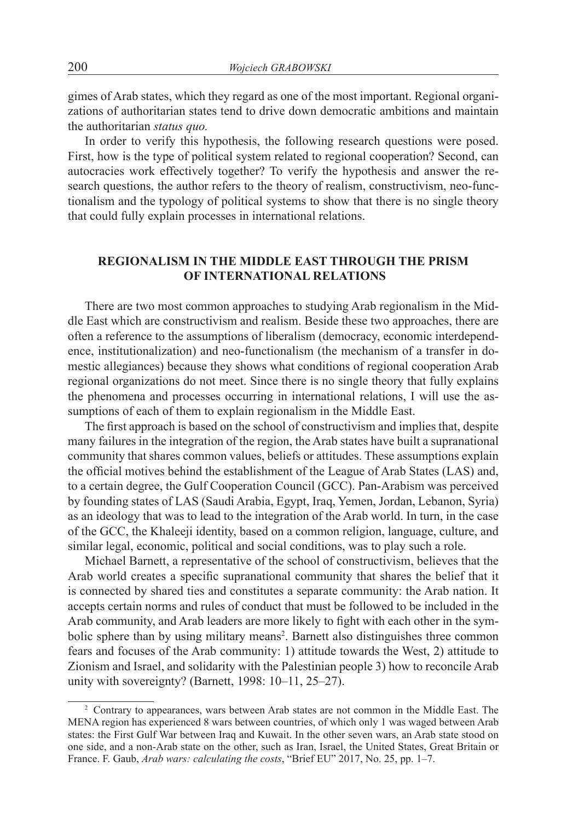gimes of Arab states, which they regard as one of the most important. Regional organizations of authoritarian states tend to drive down democratic ambitions and maintain the authoritarian *status quo.*

In order to verify this hypothesis, the following research questions were posed. First, how is the type of political system related to regional cooperation? Second, can autocracies work effectively together? To verify the hypothesis and answer the research questions, the author refers to the theory of realism, constructivism, neo-functionalism and the typology of political systems to show that there is no single theory that could fully explain processes in international relations.

## **REGIONALISM IN THE MIDDLE EAST THROUGH THE PRISM OF INTERNATIONAL RELATIONS**

There are two most common approaches to studying Arab regionalism in the Middle East which are constructivism and realism. Beside these two approaches, there are often a reference to the assumptions of liberalism (democracy, economic interdependence, institutionalization) and neo-functionalism (the mechanism of a transfer in domestic allegiances) because they shows what conditions of regional cooperation Arab regional organizations do not meet. Since there is no single theory that fully explains the phenomena and processes occurring in international relations, I will use the assumptions of each of them to explain regionalism in the Middle East.

The first approach is based on the school of constructivism and implies that, despite many failures in the integration of the region, the Arab states have built a supranational community that shares common values, beliefs or attitudes. These assumptions explain the official motives behind the establishment of the League of Arab States (LAS) and, to a certain degree, the Gulf Cooperation Council (GCC). Pan-Arabism was perceived by founding states of LAS (Saudi Arabia, Egypt, Iraq, Yemen, Jordan, Lebanon, Syria) as an ideology that was to lead to the integration of the Arab world. In turn, in the case of the GCC, the Khaleeji identity, based on a common religion, language, culture, and similar legal, economic, political and social conditions, was to play such a role.

Michael Barnett, a representative of the school of constructivism, believes that the Arab world creates a specific supranational community that shares the belief that it is connected by shared ties and constitutes a separate community: the Arab nation. It accepts certain norms and rules of conduct that must be followed to be included in the Arab community, and Arab leaders are more likely to fight with each other in the symbolic sphere than by using military means<sup>2</sup>. Barnett also distinguishes three common fears and focuses of the Arab community: 1) attitude towards the West, 2) attitude to Zionism and Israel, and solidarity with the Palestinian people 3) how to reconcile Arab unity with sovereignty? (Barnett, 1998: 10–11, 25–27).

<sup>2</sup> Contrary to appearances, wars between Arab states are not common in the Middle East. The MENA region has experienced 8 wars between countries, of which only 1 was waged between Arab states: the First Gulf War between Iraq and Kuwait. In the other seven wars, an Arab state stood on one side, and a non-Arab state on the other, such as Iran, Israel, the United States, Great Britain or France. F. Gaub, *Arab wars: calculating the costs*, "Brief EU" 2017, No. 25, pp. 1–7.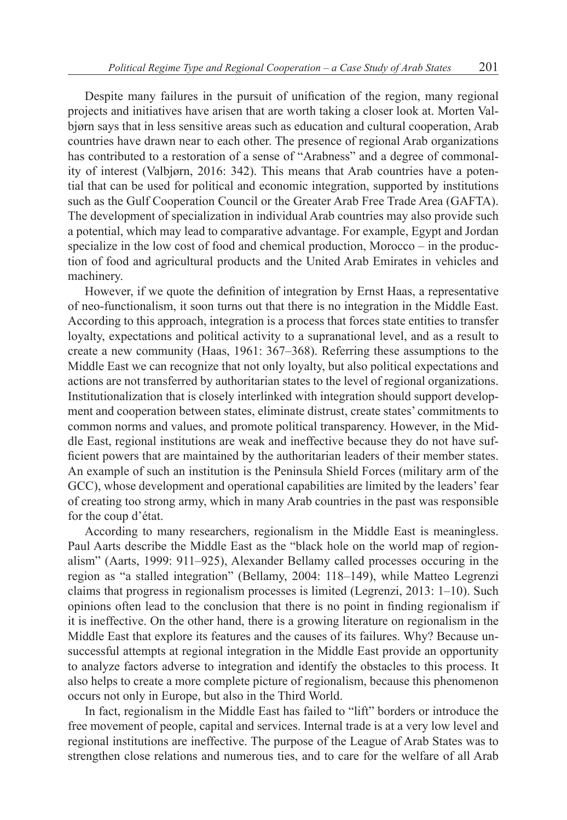Despite many failures in the pursuit of unification of the region, many regional projects and initiatives have arisen that are worth taking a closer look at. Morten Valbjørn says that in less sensitive areas such as education and cultural cooperation, Arab countries have drawn near to each other. The presence of regional Arab organizations has contributed to a restoration of a sense of "Arabness" and a degree of commonality of interest (Valbjørn, 2016: 342). This means that Arab countries have a potential that can be used for political and economic integration, supported by institutions such as the Gulf Cooperation Council or the Greater Arab Free Trade Area (GAFTA). The development of specialization in individual Arab countries may also provide such a potential, which may lead to comparative advantage. For example, Egypt and Jordan specialize in the low cost of food and chemical production, Morocco – in the production of food and agricultural products and the United Arab Emirates in vehicles and machinery.

However, if we quote the definition of integration by Ernst Haas, a representative of neo-functionalism, it soon turns out that there is no integration in the Middle East. According to this approach, integration is a process that forces state entities to transfer loyalty, expectations and political activity to a supranational level, and as a result to create a new community (Haas, 1961: 367–368). Referring these assumptions to the Middle East we can recognize that not only loyalty, but also political expectations and actions are not transferred by authoritarian states to the level of regional organizations. Institutionalization that is closely interlinked with integration should support development and cooperation between states, eliminate distrust, create states' commitments to common norms and values, and promote political transparency. However, in the Middle East, regional institutions are weak and ineffective because they do not have sufficient powers that are maintained by the authoritarian leaders of their member states. An example of such an institution is the Peninsula Shield Forces (military arm of the GCC), whose development and operational capabilities are limited by the leaders' fear of creating too strong army, which in many Arab countries in the past was responsible for the coup d'état.

According to many researchers, regionalism in the Middle East is meaningless. Paul Aarts describe the Middle East as the "black hole on the world map of regionalism" (Aarts, 1999: 911–925), Alexander Bellamy called processes occuring in the region as "a stalled integration" (Bellamy, 2004: 118–149), while Matteo Legrenzi claims that progress in regionalism processes is limited (Legrenzi, 2013: 1–10). Such opinions often lead to the conclusion that there is no point in finding regionalism if it is ineffective. On the other hand, there is a growing literature on regionalism in the Middle East that explore its features and the causes of its failures. Why? Because unsuccessful attempts at regional integration in the Middle East provide an opportunity to analyze factors adverse to integration and identify the obstacles to this process. It also helps to create a more complete picture of regionalism, because this phenomenon occurs not only in Europe, but also in the Third World.

In fact, regionalism in the Middle East has failed to "lift" borders or introduce the free movement of people, capital and services. Internal trade is at a very low level and regional institutions are ineffective. The purpose of the League of Arab States was to strengthen close relations and numerous ties, and to care for the welfare of all Arab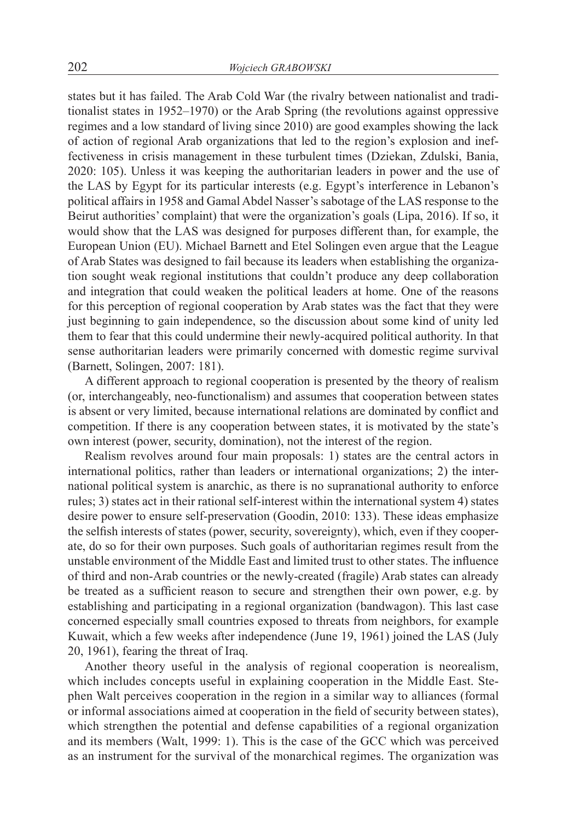states but it has failed. The Arab Cold War (the rivalry between nationalist and traditionalist states in 1952–1970) or the Arab Spring (the revolutions against oppressive regimes and a low standard of living since 2010) are good examples showing the lack of action of regional Arab organizations that led to the region's explosion and ineffectiveness in crisis management in these turbulent times (Dziekan, Zdulski, Bania, 2020: 105). Unless it was keeping the authoritarian leaders in power and the use of the LAS by Egypt for its particular interests (e.g. Egypt's interference in Lebanon's political affairs in 1958 and Gamal Abdel Nasser's sabotage of the LAS response to the Beirut authorities' complaint) that were the organization's goals (Lipa, 2016). If so, it would show that the LAS was designed for purposes different than, for example, the European Union (EU). Michael Barnett and Etel Solingen even argue that the League of Arab States was designed to fail because its leaders when establishing the organization sought weak regional institutions that couldn't produce any deep collaboration and integration that could weaken the political leaders at home. One of the reasons for this perception of regional cooperation by Arab states was the fact that they were just beginning to gain independence, so the discussion about some kind of unity led them to fear that this could undermine their newly-acquired political authority. In that sense authoritarian leaders were primarily concerned with domestic regime survival (Barnett, Solingen, 2007: 181).

A different approach to regional cooperation is presented by the theory of realism (or, interchangeably, neo-functionalism) and assumes that cooperation between states is absent or very limited, because international relations are dominated by conflict and competition. If there is any cooperation between states, it is motivated by the state's own interest (power, security, domination), not the interest of the region.

Realism revolves around four main proposals: 1) states are the central actors in international politics, rather than leaders or international organizations; 2) the international political system is anarchic, as there is no supranational authority to enforce rules; 3) states act in their rational self-interest within the international system 4) states desire power to ensure self-preservation (Goodin, 2010: 133). These ideas emphasize the selfish interests of states (power, security, sovereignty), which, even if they cooperate, do so for their own purposes. Such goals of authoritarian regimes result from the unstable environment of the Middle East and limited trust to other states. The influence of third and non-Arab countries or the newly-created (fragile) Arab states can already be treated as a sufficient reason to secure and strengthen their own power, e.g. by establishing and participating in a regional organization (bandwagon). This last case concerned especially small countries exposed to threats from neighbors, for example Kuwait, which a few weeks after independence (June 19, 1961) joined the LAS (July 20, 1961), fearing the threat of Iraq.

Another theory useful in the analysis of regional cooperation is neorealism, which includes concepts useful in explaining cooperation in the Middle East. Stephen Walt perceives cooperation in the region in a similar way to alliances (formal or informal associations aimed at cooperation in the field of security between states), which strengthen the potential and defense capabilities of a regional organization and its members (Walt, 1999: 1). This is the case of the GCC which was perceived as an instrument for the survival of the monarchical regimes. The organization was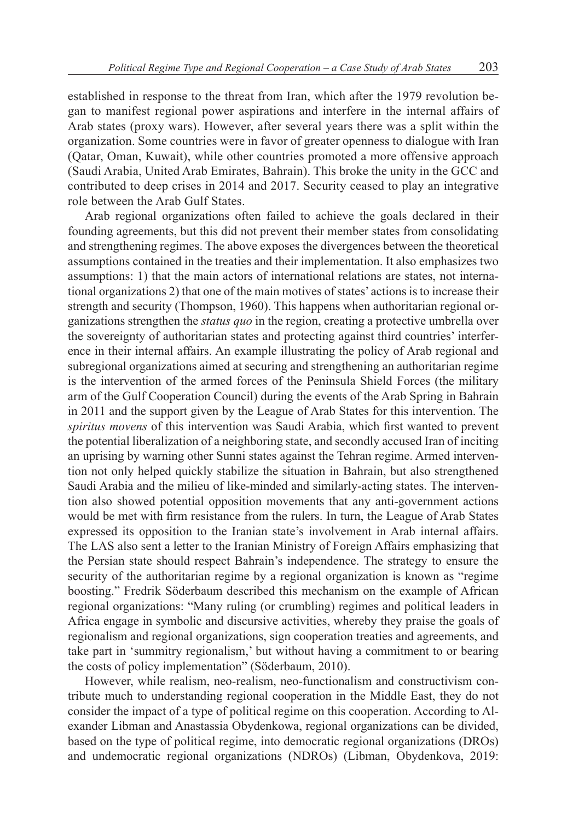established in response to the threat from Iran, which after the 1979 revolution began to manifest regional power aspirations and interfere in the internal affairs of Arab states (proxy wars). However, after several years there was a split within the organization. Some countries were in favor of greater openness to dialogue with Iran (Qatar, Oman, Kuwait), while other countries promoted a more offensive approach (Saudi Arabia, United Arab Emirates, Bahrain). This broke the unity in the GCC and contributed to deep crises in 2014 and 2017. Security ceased to play an integrative role between the Arab Gulf States.

Arab regional organizations often failed to achieve the goals declared in their founding agreements, but this did not prevent their member states from consolidating and strengthening regimes. The above exposes the divergences between the theoretical assumptions contained in the treaties and their implementation. It also emphasizes two assumptions: 1) that the main actors of international relations are states, not international organizations 2) that one of the main motives of states' actions is to increase their strength and security (Thompson, 1960). This happens when authoritarian regional organizations strengthen the *status quo* in the region, creating a protective umbrella over the sovereignty of authoritarian states and protecting against third countries' interference in their internal affairs. An example illustrating the policy of Arab regional and subregional organizations aimed at securing and strengthening an authoritarian regime is the intervention of the armed forces of the Peninsula Shield Forces (the military arm of the Gulf Cooperation Council) during the events of the Arab Spring in Bahrain in 2011 and the support given by the League of Arab States for this intervention. The *spiritus movens* of this intervention was Saudi Arabia, which first wanted to prevent the potential liberalization of a neighboring state, and secondly accused Iran of inciting an uprising by warning other Sunni states against the Tehran regime. Armed intervention not only helped quickly stabilize the situation in Bahrain, but also strengthened Saudi Arabia and the milieu of like-minded and similarly-acting states. The intervention also showed potential opposition movements that any anti-government actions would be met with firm resistance from the rulers. In turn, the League of Arab States expressed its opposition to the Iranian state's involvement in Arab internal affairs. The LAS also sent a letter to the Iranian Ministry of Foreign Affairs emphasizing that the Persian state should respect Bahrain's independence. The strategy to ensure the security of the authoritarian regime by a regional organization is known as "regime boosting." Fredrik Söderbaum described this mechanism on the example of African regional organizations: "Many ruling (or crumbling) regimes and political leaders in Africa engage in symbolic and discursive activities, whereby they praise the goals of regionalism and regional organizations, sign cooperation treaties and agreements, and take part in 'summitry regionalism,' but without having a commitment to or bearing the costs of policy implementation" (Söderbaum, 2010).

However, while realism, neo-realism, neo-functionalism and constructivism contribute much to understanding regional cooperation in the Middle East, they do not consider the impact of a type of political regime on this cooperation. According to Alexander Libman and Anastassia Obydenkowa, regional organizations can be divided, based on the type of political regime, into democratic regional organizations (DROs) and undemocratic regional organizations (NDROs) (Libman, Obydenkova, 2019: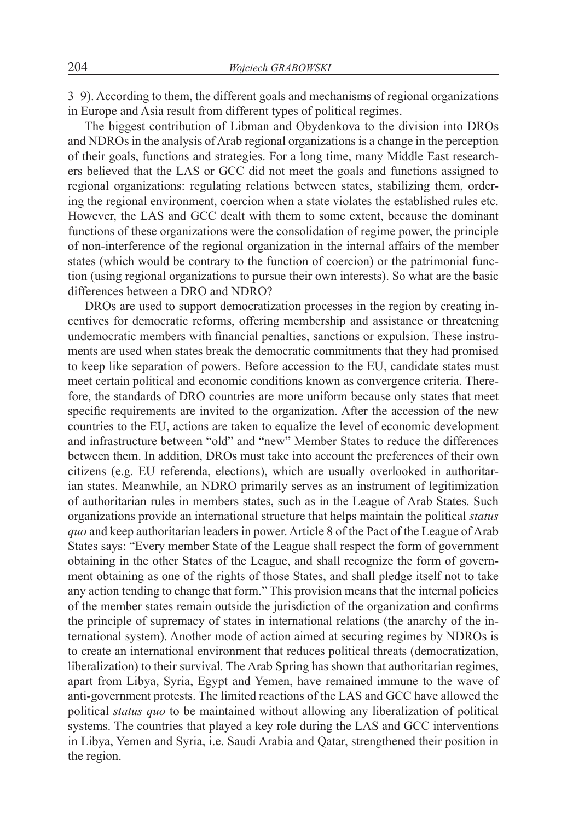3–9). According to them, the different goals and mechanisms of regional organizations in Europe and Asia result from different types of political regimes.

The biggest contribution of Libman and Obydenkova to the division into DROs and NDROs in the analysis of Arab regional organizations is a change in the perception of their goals, functions and strategies. For a long time, many Middle East researchers believed that the LAS or GCC did not meet the goals and functions assigned to regional organizations: regulating relations between states, stabilizing them, ordering the regional environment, coercion when a state violates the established rules etc. However, the LAS and GCC dealt with them to some extent, because the dominant functions of these organizations were the consolidation of regime power, the principle of non-interference of the regional organization in the internal affairs of the member states (which would be contrary to the function of coercion) or the patrimonial function (using regional organizations to pursue their own interests). So what are the basic differences between a DRO and NDRO?

DROs are used to support democratization processes in the region by creating incentives for democratic reforms, offering membership and assistance or threatening undemocratic members with financial penalties, sanctions or expulsion. These instruments are used when states break the democratic commitments that they had promised to keep like separation of powers. Before accession to the EU, candidate states must meet certain political and economic conditions known as convergence criteria. Therefore, the standards of DRO countries are more uniform because only states that meet specific requirements are invited to the organization. After the accession of the new countries to the EU, actions are taken to equalize the level of economic development and infrastructure between "old" and "new" Member States to reduce the differences between them. In addition, DROs must take into account the preferences of their own citizens (e.g. EU referenda, elections), which are usually overlooked in authoritarian states. Meanwhile, an NDRO primarily serves as an instrument of legitimization of authoritarian rules in members states, such as in the League of Arab States. Such organizations provide an international structure that helps maintain the political *status quo* and keep authoritarian leaders in power. Article 8 of the Pact of the League of Arab States says: "Every member State of the League shall respect the form of government obtaining in the other States of the League, and shall recognize the form of government obtaining as one of the rights of those States, and shall pledge itself not to take any action tending to change that form." This provision means that the internal policies of the member states remain outside the jurisdiction of the organization and confirms the principle of supremacy of states in international relations (the anarchy of the international system). Another mode of action aimed at securing regimes by NDROs is to create an international environment that reduces political threats (democratization, liberalization) to their survival. The Arab Spring has shown that authoritarian regimes, apart from Libya, Syria, Egypt and Yemen, have remained immune to the wave of anti-government protests. The limited reactions of the LAS and GCC have allowed the political *status quo* to be maintained without allowing any liberalization of political systems. The countries that played a key role during the LAS and GCC interventions in Libya, Yemen and Syria, i.e. Saudi Arabia and Qatar, strengthened their position in the region.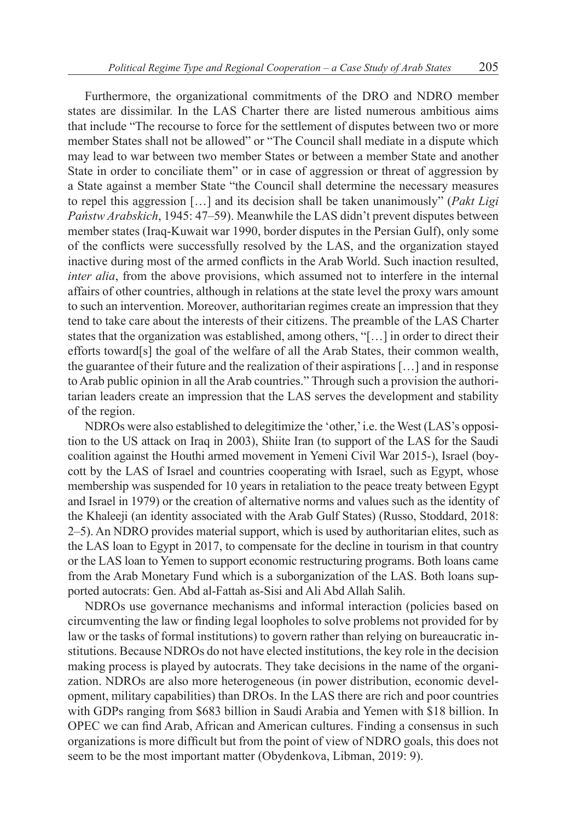Furthermore, the organizational commitments of the DRO and NDRO member states are dissimilar. In the LAS Charter there are listed numerous ambitious aims that include "The recourse to force for the settlement of disputes between two or more member States shall not be allowed" or "The Council shall mediate in a dispute which may lead to war between two member States or between a member State and another State in order to conciliate them" or in case of aggression or threat of aggression by a State against a member State "the Council shall determine the necessary measures to repel this aggression […] and its decision shall be taken unanimously" (*Pakt Ligi Państw Arabskich*, 1945: 47–59). Meanwhile the LAS didn't prevent disputes between member states (Iraq-Kuwait war 1990, border disputes in the Persian Gulf), only some of the conflicts were successfully resolved by the LAS, and the organization stayed inactive during most of the armed conflicts in the Arab World. Such inaction resulted, *inter alia*, from the above provisions, which assumed not to interfere in the internal affairs of other countries, although in relations at the state level the proxy wars amount to such an intervention. Moreover, authoritarian regimes create an impression that they tend to take care about the interests of their citizens. The preamble of the LAS Charter states that the organization was established, among others, "[…] in order to direct their efforts toward[s] the goal of the welfare of all the Arab States, their common wealth, the guarantee of their future and the realization of their aspirations […] and in response to Arab public opinion in all the Arab countries." Through such a provision the authoritarian leaders create an impression that the LAS serves the development and stability of the region.

NDROs were also established to delegitimize the 'other,' i.e. the West (LAS's opposition to the US attack on Iraq in 2003), Shiite Iran (to support of the LAS for the Saudi coalition against the Houthi armed movement in Yemeni Civil War 2015-), Israel (boycott by the LAS of Israel and countries cooperating with Israel, such as Egypt, whose membership was suspended for 10 years in retaliation to the peace treaty between Egypt and Israel in 1979) or the creation of alternative norms and values such as the identity of the Khaleeji (an identity associated with the Arab Gulf States) (Russo, Stoddard, 2018: 2–5). An NDRO provides material support, which is used by authoritarian elites, such as the LAS loan to Egypt in 2017, to compensate for the decline in tourism in that country or the LAS loan to Yemen to support economic restructuring programs. Both loans came from the Arab Monetary Fund which is a suborganization of the LAS. Both loans supported autocrats: Gen. Abd al-Fattah as-Sisi and Ali Abd Allah Salih.

NDROs use governance mechanisms and informal interaction (policies based on circumventing the law or finding legal loopholes to solve problems not provided for by law or the tasks of formal institutions) to govern rather than relying on bureaucratic institutions. Because NDROs do not have elected institutions, the key role in the decision making process is played by autocrats. They take decisions in the name of the organization. NDROs are also more heterogeneous (in power distribution, economic development, military capabilities) than DROs. In the LAS there are rich and poor countries with GDPs ranging from \$683 billion in Saudi Arabia and Yemen with \$18 billion. In OPEC we can find Arab, African and American cultures. Finding a consensus in such organizations is more difficult but from the point of view of NDRO goals, this does not seem to be the most important matter (Obydenkova, Libman, 2019: 9).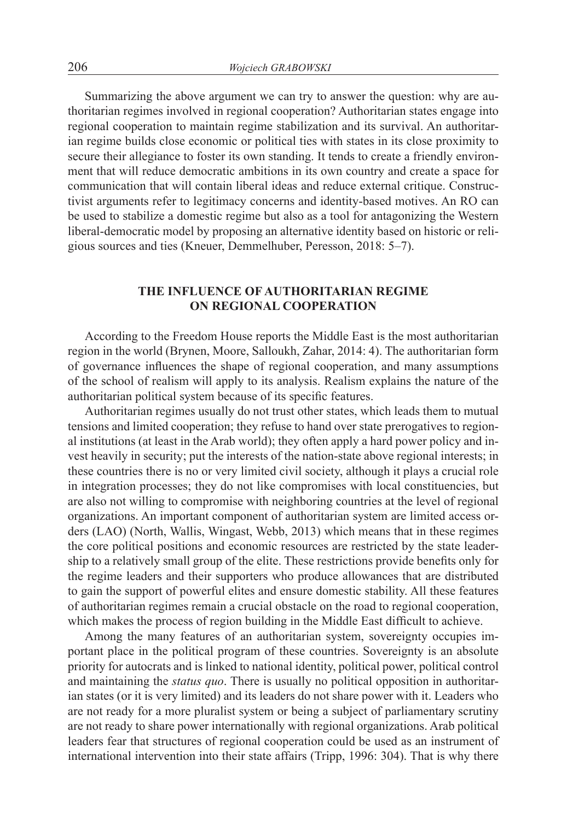Summarizing the above argument we can try to answer the question: why are authoritarian regimes involved in regional cooperation? Authoritarian states engage into regional cooperation to maintain regime stabilization and its survival. An authoritarian regime builds close economic or political ties with states in its close proximity to secure their allegiance to foster its own standing. It tends to create a friendly environment that will reduce democratic ambitions in its own country and create a space for communication that will contain liberal ideas and reduce external critique. Constructivist arguments refer to legitimacy concerns and identity-based motives. An RO can be used to stabilize a domestic regime but also as a tool for antagonizing the Western liberal-democratic model by proposing an alternative identity based on historic or religious sources and ties (Kneuer, Demmelhuber, Peresson, 2018: 5–7).

## **THE INFLUENCE OF AUTHORITARIAN REGIME ON REGIONAL COOPERATION**

According to the Freedom House reports the Middle East is the most authoritarian region in the world (Brynen, Moore, Salloukh, Zahar, 2014: 4). The authoritarian form of governance influences the shape of regional cooperation, and many assumptions of the school of realism will apply to its analysis. Realism explains the nature of the authoritarian political system because of its specific features.

Authoritarian regimes usually do not trust other states, which leads them to mutual tensions and limited cooperation; they refuse to hand over state prerogatives to regional institutions (at least in the Arab world); they often apply a hard power policy and invest heavily in security; put the interests of the nation-state above regional interests; in these countries there is no or very limited civil society, although it plays a crucial role in integration processes; they do not like compromises with local constituencies, but are also not willing to compromise with neighboring countries at the level of regional organizations. An important component of authoritarian system are limited access orders (LAO) (North, Wallis, Wingast, Webb, 2013) which means that in these regimes the core political positions and economic resources are restricted by the state leadership to a relatively small group of the elite. These restrictions provide benefits only for the regime leaders and their supporters who produce allowances that are distributed to gain the support of powerful elites and ensure domestic stability. All these features of authoritarian regimes remain a crucial obstacle on the road to regional cooperation, which makes the process of region building in the Middle East difficult to achieve.

Among the many features of an authoritarian system, sovereignty occupies important place in the political program of these countries. Sovereignty is an absolute priority for autocrats and is linked to national identity, political power, political control and maintaining the *status quo*. There is usually no political opposition in authoritarian states (or it is very limited) and its leaders do not share power with it. Leaders who are not ready for a more pluralist system or being a subject of parliamentary scrutiny are not ready to share power internationally with regional organizations. Arab political leaders fear that structures of regional cooperation could be used as an instrument of international intervention into their state affairs (Tripp, 1996: 304). That is why there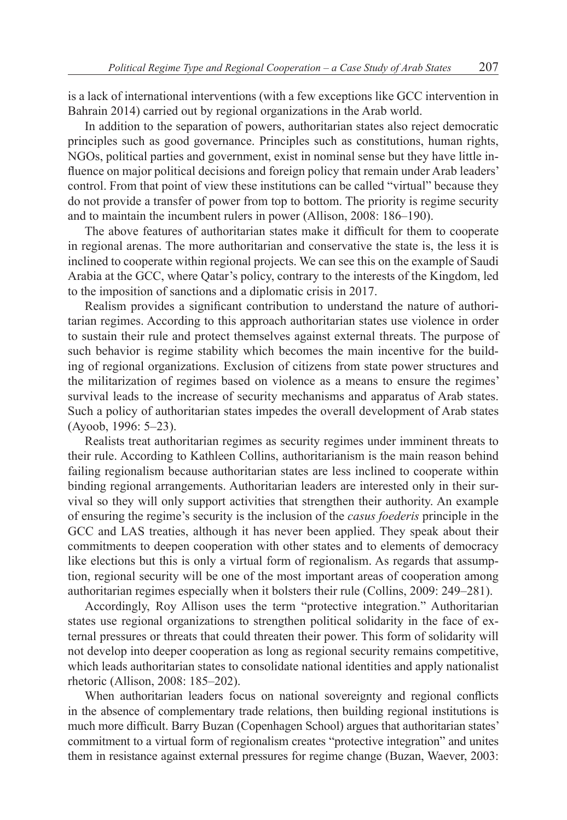is a lack of international interventions (with a few exceptions like GCC intervention in Bahrain 2014) carried out by regional organizations in the Arab world.

In addition to the separation of powers, authoritarian states also reject democratic principles such as good governance. Principles such as constitutions, human rights, NGOs, political parties and government, exist in nominal sense but they have little influence on major political decisions and foreign policy that remain under Arab leaders' control. From that point of view these institutions can be called "virtual" because they do not provide a transfer of power from top to bottom. The priority is regime security and to maintain the incumbent rulers in power (Allison, 2008: 186–190).

The above features of authoritarian states make it difficult for them to cooperate in regional arenas. The more authoritarian and conservative the state is, the less it is inclined to cooperate within regional projects. We can see this on the example of Saudi Arabia at the GCC, where Qatar's policy, contrary to the interests of the Kingdom, led to the imposition of sanctions and a diplomatic crisis in 2017.

Realism provides a significant contribution to understand the nature of authoritarian regimes. According to this approach authoritarian states use violence in order to sustain their rule and protect themselves against external threats. The purpose of such behavior is regime stability which becomes the main incentive for the building of regional organizations. Exclusion of citizens from state power structures and the militarization of regimes based on violence as a means to ensure the regimes' survival leads to the increase of security mechanisms and apparatus of Arab states. Such a policy of authoritarian states impedes the overall development of Arab states (Ayoob, 1996: 5–23).

Realists treat authoritarian regimes as security regimes under imminent threats to their rule. According to Kathleen Collins, authoritarianism is the main reason behind failing regionalism because authoritarian states are less inclined to cooperate within binding regional arrangements. Authoritarian leaders are interested only in their survival so they will only support activities that strengthen their authority. An example of ensuring the regime's security is the inclusion of the *casus foederis* principle in the GCC and LAS treaties, although it has never been applied. They speak about their commitments to deepen cooperation with other states and to elements of democracy like elections but this is only a virtual form of regionalism. As regards that assumption, regional security will be one of the most important areas of cooperation among authoritarian regimes especially when it bolsters their rule (Collins, 2009: 249–281).

Accordingly, Roy Allison uses the term "protective integration." Authoritarian states use regional organizations to strengthen political solidarity in the face of external pressures or threats that could threaten their power. This form of solidarity will not develop into deeper cooperation as long as regional security remains competitive, which leads authoritarian states to consolidate national identities and apply nationalist rhetoric (Allison, 2008: 185–202).

When authoritarian leaders focus on national sovereignty and regional conflicts in the absence of complementary trade relations, then building regional institutions is much more difficult. Barry Buzan (Copenhagen School) argues that authoritarian states' commitment to a virtual form of regionalism creates "protective integration" and unites them in resistance against external pressures for regime change (Buzan, Waever, 2003: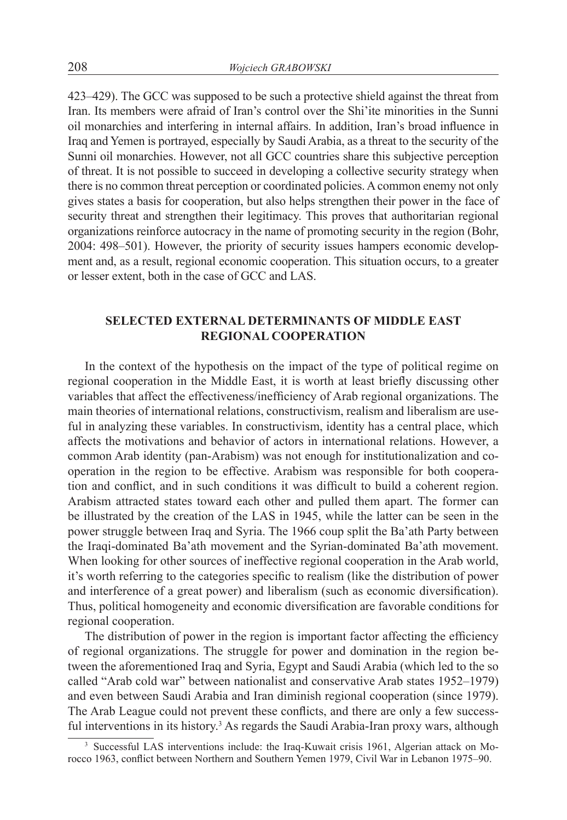423–429). The GCC was supposed to be such a protective shield against the threat from Iran. Its members were afraid of Iran's control over the Shi'ite minorities in the Sunni oil monarchies and interfering in internal affairs. In addition, Iran's broad influence in Iraq and Yemen is portrayed, especially by Saudi Arabia, as a threat to the security of the Sunni oil monarchies. However, not all GCC countries share this subjective perception of threat. It is not possible to succeed in developing a collective security strategy when there is no common threat perception or coordinated policies. Acommon enemy not only gives states a basis for cooperation, but also helps strengthen their power in the face of security threat and strengthen their legitimacy. This proves that authoritarian regional organizations reinforce autocracy in the name of promoting security in the region (Bohr, 2004: 498–501). However, the priority of security issues hampers economic development and, as a result, regional economic cooperation. This situation occurs, to a greater or lesser extent, both in the case of GCC and LAS.

## **SELECTED EXTERNAL DETERMINANTS OF MIDDLE EAST REGIONAL COOPERATION**

In the context of the hypothesis on the impact of the type of political regime on regional cooperation in the Middle East, it is worth at least briefly discussing other variables that affect the effectiveness/inefficiency of Arab regional organizations. The main theories of international relations, constructivism, realism and liberalism are useful in analyzing these variables. In constructivism, identity has a central place, which affects the motivations and behavior of actors in international relations. However, a common Arab identity (pan-Arabism) was not enough for institutionalization and cooperation in the region to be effective. Arabism was responsible for both cooperation and conflict, and in such conditions it was difficult to build a coherent region. Arabism attracted states toward each other and pulled them apart. The former can be illustrated by the creation of the LAS in 1945, while the latter can be seen in the power struggle between Iraq and Syria. The 1966 coup split the Ba'ath Party between the Iraqi-dominated Ba'ath movement and the Syrian-dominated Ba'ath movement. When looking for other sources of ineffective regional cooperation in the Arab world, it's worth referring to the categories specific to realism (like the distribution of power and interference of a great power) and liberalism (such as economic diversification). Thus, political homogeneity and economic diversification are favorable conditions for regional cooperation.

The distribution of power in the region is important factor affecting the efficiency of regional organizations. The struggle for power and domination in the region between the aforementioned Iraq and Syria, Egypt and Saudi Arabia (which led to the so called "Arab cold war" between nationalist and conservative Arab states 1952–1979) and even between Saudi Arabia and Iran diminish regional cooperation (since 1979). The Arab League could not prevent these conflicts, and there are only a few successful interventions in its history.<sup>3</sup> As regards the Saudi Arabia-Iran proxy wars, although

<sup>&</sup>lt;sup>3</sup> Successful LAS interventions include: the Iraq-Kuwait crisis 1961, Algerian attack on Morocco 1963, conflict between Northern and Southern Yemen 1979, Civil War in Lebanon 1975–90.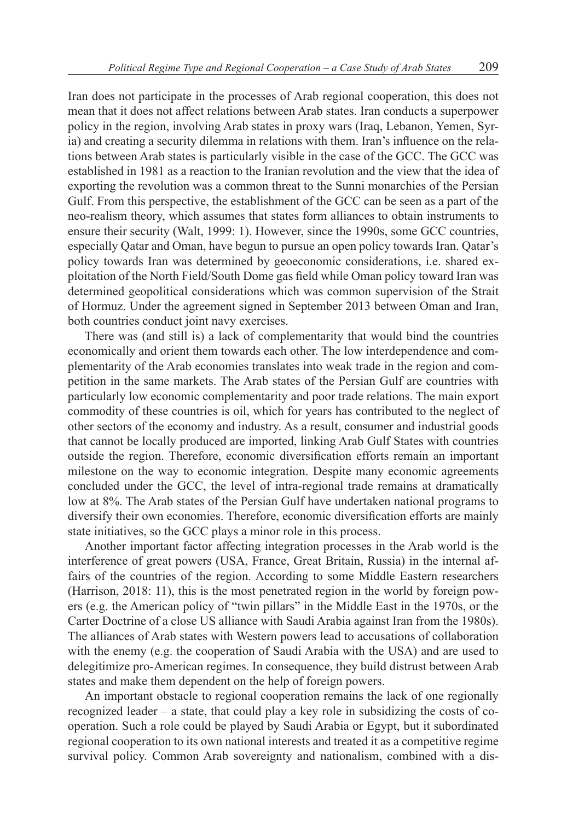Iran does not participate in the processes of Arab regional cooperation, this does not mean that it does not affect relations between Arab states. Iran conducts a superpower policy in the region, involving Arab states in proxy wars (Iraq, Lebanon, Yemen, Syria) and creating a security dilemma in relations with them. Iran's influence on the relations between Arab states is particularly visible in the case of the GCC. The GCC was established in 1981 as a reaction to the Iranian revolution and the view that the idea of exporting the revolution was a common threat to the Sunni monarchies of the Persian Gulf. From this perspective, the establishment of the GCC can be seen as a part of the neo-realism theory, which assumes that states form alliances to obtain instruments to ensure their security (Walt, 1999: 1). However, since the 1990s, some GCC countries, especially Qatar and Oman, have begun to pursue an open policy towards Iran. Qatar's policy towards Iran was determined by geoeconomic considerations, i.e. shared exploitation of the North Field/South Dome gas field while Oman policy toward Iran was determined geopolitical considerations which was common supervision of the Strait of Hormuz. Under the agreement signed in September 2013 between Oman and Iran, both countries conduct joint navy exercises.

There was (and still is) a lack of complementarity that would bind the countries economically and orient them towards each other. The low interdependence and complementarity of the Arab economies translates into weak trade in the region and competition in the same markets. The Arab states of the Persian Gulf are countries with particularly low economic complementarity and poor trade relations. The main export commodity of these countries is oil, which for years has contributed to the neglect of other sectors of the economy and industry. As a result, consumer and industrial goods that cannot be locally produced are imported, linking Arab Gulf States with countries outside the region. Therefore, economic diversification efforts remain an important milestone on the way to economic integration. Despite many economic agreements concluded under the GCC, the level of intra-regional trade remains at dramatically low at 8%. The Arab states of the Persian Gulf have undertaken national programs to diversify their own economies. Therefore, economic diversification efforts are mainly state initiatives, so the GCC plays a minor role in this process.

Another important factor affecting integration processes in the Arab world is the interference of great powers (USA, France, Great Britain, Russia) in the internal affairs of the countries of the region. According to some Middle Eastern researchers (Harrison, 2018: 11), this is the most penetrated region in the world by foreign powers (e.g. the American policy of "twin pillars" in the Middle East in the 1970s, or the Carter Doctrine of a close US alliance with Saudi Arabia against Iran from the 1980s). The alliances of Arab states with Western powers lead to accusations of collaboration with the enemy (e.g. the cooperation of Saudi Arabia with the USA) and are used to delegitimize pro-American regimes. In consequence, they build distrust between Arab states and make them dependent on the help of foreign powers.

An important obstacle to regional cooperation remains the lack of one regionally recognized leader – a state, that could play a key role in subsidizing the costs of cooperation. Such a role could be played by Saudi Arabia or Egypt, but it subordinated regional cooperation to its own national interests and treated it as a competitive regime survival policy. Common Arab sovereignty and nationalism, combined with a dis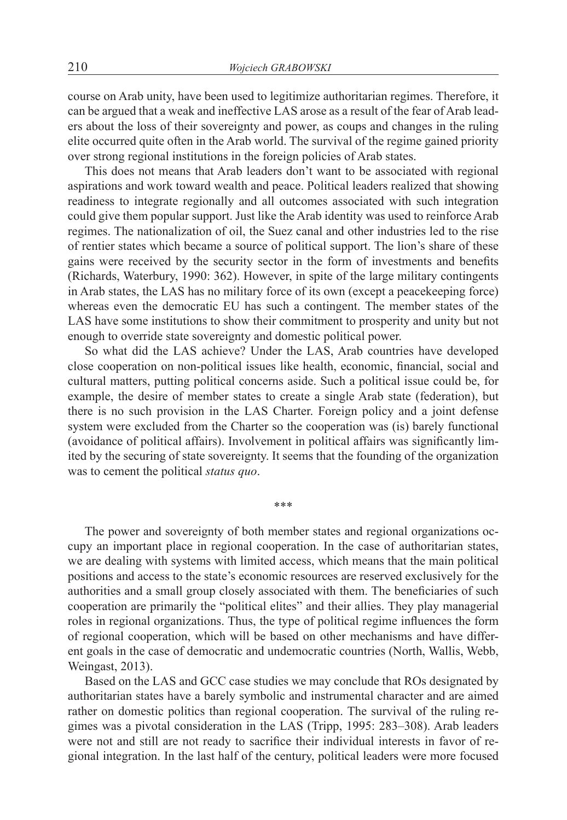course on Arab unity, have been used to legitimize authoritarian regimes. Therefore, it can be argued that a weak and ineffective LAS arose as a result of the fear of Arab leaders about the loss of their sovereignty and power, as coups and changes in the ruling elite occurred quite often in the Arab world. The survival of the regime gained priority over strong regional institutions in the foreign policies of Arab states.

This does not means that Arab leaders don't want to be associated with regional aspirations and work toward wealth and peace. Political leaders realized that showing readiness to integrate regionally and all outcomes associated with such integration could give them popular support. Just like the Arab identity was used to reinforce Arab regimes. The nationalization of oil, the Suez canal and other industries led to the rise of rentier states which became a source of political support. The lion's share of these gains were received by the security sector in the form of investments and benefits (Richards, Waterbury, 1990: 362). However, in spite of the large military contingents in Arab states, the LAS has no military force of its own (except a peacekeeping force) whereas even the democratic EU has such a contingent. The member states of the LAS have some institutions to show their commitment to prosperity and unity but not enough to override state sovereignty and domestic political power.

So what did the LAS achieve? Under the LAS, Arab countries have developed close cooperation on non-political issues like health, economic, financial, social and cultural matters, putting political concerns aside. Such a political issue could be, for example, the desire of member states to create a single Arab state (federation), but there is no such provision in the LAS Charter. Foreign policy and a joint defense system were excluded from the Charter so the cooperation was (is) barely functional (avoidance of political affairs). Involvement in political affairs was significantly limited by the securing of state sovereignty. It seems that the founding of the organization was to cement the political *status quo*.

\*\*\*

The power and sovereignty of both member states and regional organizations occupy an important place in regional cooperation. In the case of authoritarian states, we are dealing with systems with limited access, which means that the main political positions and access to the state's economic resources are reserved exclusively for the authorities and a small group closely associated with them. The beneficiaries of such cooperation are primarily the "political elites" and their allies. They play managerial roles in regional organizations. Thus, the type of political regime influences the form of regional cooperation, which will be based on other mechanisms and have different goals in the case of democratic and undemocratic countries (North, Wallis, Webb, Weingast, 2013).

Based on the LAS and GCC case studies we may conclude that ROs designated by authoritarian states have a barely symbolic and instrumental character and are aimed rather on domestic politics than regional cooperation. The survival of the ruling regimes was a pivotal consideration in the LAS (Tripp, 1995: 283–308). Arab leaders were not and still are not ready to sacrifice their individual interests in favor of regional integration. In the last half of the century, political leaders were more focused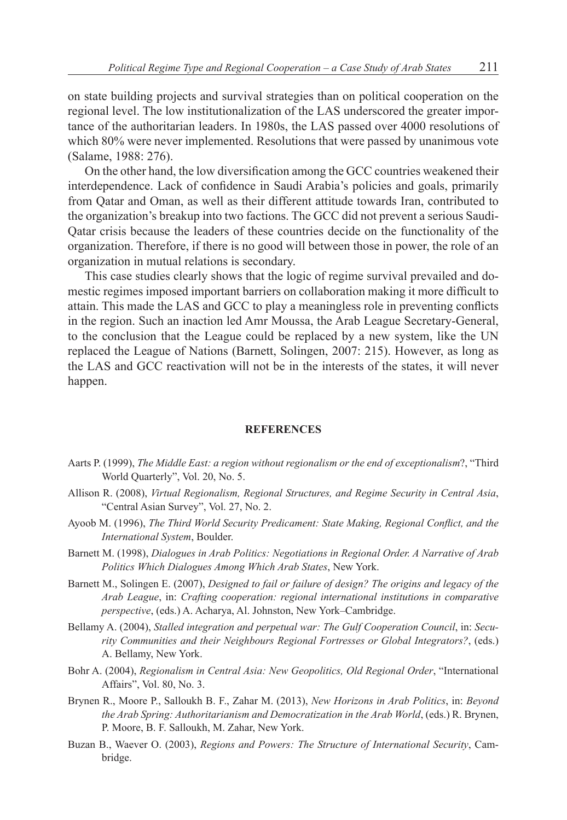on state building projects and survival strategies than on political cooperation on the regional level. The low institutionalization of the LAS underscored the greater importance of the authoritarian leaders. In 1980s, the LAS passed over 4000 resolutions of which 80% were never implemented. Resolutions that were passed by unanimous vote (Salame, 1988: 276).

On the other hand, the low diversification among the GCC countries weakened their interdependence. Lack of confidence in Saudi Arabia's policies and goals, primarily from Qatar and Oman, as well as their different attitude towards Iran, contributed to the organization's breakup into two factions. The GCC did not prevent a serious Saudi-Qatar crisis because the leaders of these countries decide on the functionality of the organization. Therefore, if there is no good will between those in power, the role of an organization in mutual relations is secondary.

This case studies clearly shows that the logic of regime survival prevailed and domestic regimes imposed important barriers on collaboration making it more difficult to attain. This made the LAS and GCC to play a meaningless role in preventing conflicts in the region. Such an inaction led Amr Moussa, the Arab League Secretary-General, to the conclusion that the League could be replaced by a new system, like the UN replaced the League of Nations (Barnett, Solingen, 2007: 215). However, as long as the LAS and GCC reactivation will not be in the interests of the states, it will never happen.

#### **REFERENCES**

- Aarts P. (1999), *The Middle East: a region without regionalism or the end of exceptionalism*?, "Third World Quarterly", Vol. 20, No. 5.
- Allison R. (2008), *Virtual Regionalism, Regional Structures, and Regime Security in Central Asia*, "Central Asian Survey", Vol. 27, No. 2.
- Ayoob M. (1996), *The Third World Security Predicament: State Making, Regional Conflict, and the International System*, Boulder.
- Barnett M. (1998), *Dialogues in Arab Politics: Negotiations in Regional Order. A Narrative of Arab Politics Which Dialogues Among Which Arab States*, New York.
- Barnett M., Solingen E. (2007), *Designed to fail or failure of design? The origins and legacy of the Arab League*, in: *Crafting cooperation: regional international institutions in comparative perspective*, (eds.) A. Acharya, Al. Johnston, New York–Cambridge.
- Bellamy A. (2004), *Stalled integration and perpetual war: The Gulf Cooperation Council*, in: *Security Communities and their Neighbours Regional Fortresses or Global Integrators?*, (eds.) A. Bellamy, New York.
- Bohr A. (2004), *Regionalism in Central Asia: New Geopolitics, Old Regional Order*, "International Affairs", Vol. 80, No. 3.
- Brynen R., Moore P., Salloukh B. F., Zahar M. (2013), *New Horizons in Arab Politics*, in: *Beyond the Arab Spring: Authoritarianism and Democratization in the Arab World*, (eds.) R. Brynen, P. Moore, B. F. Salloukh, M. Zahar, New York.
- Buzan B., Waever O. (2003), *Regions and Powers: The Structure of International Security*, Cambridge.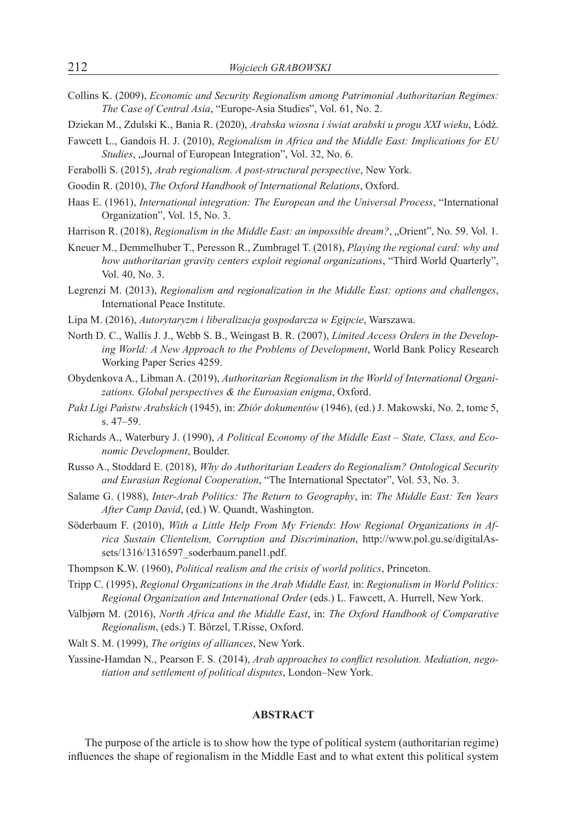- Collins K. (2009), *Economic and Security Regionalism among Patrimonial Authoritarian Regimes: The Case of Central Asia*, "Europe-Asia Studies", Vol. 61, No. 2.
- Dziekan M., Zdulski K., Bania R. (2020), *Arabska wiosna i świat arabski u progu XXI wieku*, Łódź.
- Fawcett L., Gandois H. J. (2010), *Regionalism in Africa and the Middle East: Implications for EU Studies*, "Journal of European Integration", Vol. 32, No. 6.
- Ferabolli S. (2015), *Arab regionalism. A post-structural perspective*, New York.
- Goodin R. (2010), *The Oxford Handbook of International Relations*, Oxford.
- Haas E. (1961), *International integration: The European and the Universal Process*, "International Organization", Vol. 15, No. 3.
- Harrison R. (2018), *Regionalism in the Middle East: an impossible dream?*, "Orient", No. 59. Vol. 1.
- Kneuer M., Demmelhuber T., Peresson R., Zumbragel T. (2018), *Playing the regional card: why and how authoritarian gravity centers exploit regional organizations*, "Third World Quarterly", Vol. 40, No. 3.
- Legrenzi M. (2013), *Regionalism and regionalization in the Middle East: options and challenges*, International Peace Institute.
- Lipa M. (2016), *Autorytaryzm i liberalizacja gospodarcza w Egipcie*, Warszawa.
- North D. C., Wallis J. J., Webb S. B., Weingast B. R. (2007), *Limited Access Orders in the Developing World: A New Approach to the Problems of Development*, World Bank Policy Research Working Paper Series 4259.
- Obydenkova A., Libman A. (2019), *Authoritarian Regionalism in the World of International Organizations. Global perspectives & the Euroasian enigma*, Oxford.
- *Pakt Ligi Państw Arabskich* (1945), in: *Zbiór dokumentów* (1946), (ed.) J. Makowski, No. 2, tome 5, s. 47–59.
- Richards A., Waterbury J. (1990), *A Political Economy of the Middle East State, Class, and Economic Development*, Boulder.
- Russo A., Stoddard E. (2018), *Why do Authoritarian Leaders do Regionalism? Ontological Security and Eurasian Regional Cooperation*, "The International Spectator", Vol. 53, No. 3.
- Salame G. (1988), *Inter-Arab Politics: The Return to Geography*, in: *The Middle East: Ten Years After Camp David*, (ed.) W. Quandt, Washington.
- Söderbaum F. (2010), *With a Little Help From My Friends*: *How Regional Organizations in Africa Sustain Clientelism, Corruption and Discrimination*, http://www.pol.gu.se/digitalAssets/1316/1316597\_soderbaum.panel1.pdf.
- Thompson K.W. (1960), *Political realism and the crisis of world politics*, Princeton.
- Tripp C. (1995), *Regional Organizations in the Arab Middle East,* in: *Regionalism in World Politics: Regional Organization and International Order* (eds.) L. Fawcett, A. Hurrell, New York.
- Valbjørn M. (2016), *North Africa and the Middle East*, in: *The Oxford Handbook of Comparative Regionalism*, (eds.) T. Börzel, T.Risse, Oxford.

Walt S. M. (1999), *The origins of alliances*, New York.

Yassine-Hamdan N., Pearson F. S. (2014), *Arab approaches to conflict resolution. Mediation, negotiation and settlement of political disputes*, London–New York.

#### **ABSTRACT**

The purpose of the article is to show how the type of political system (authoritarian regime) influences the shape of regionalism in the Middle East and to what extent this political system